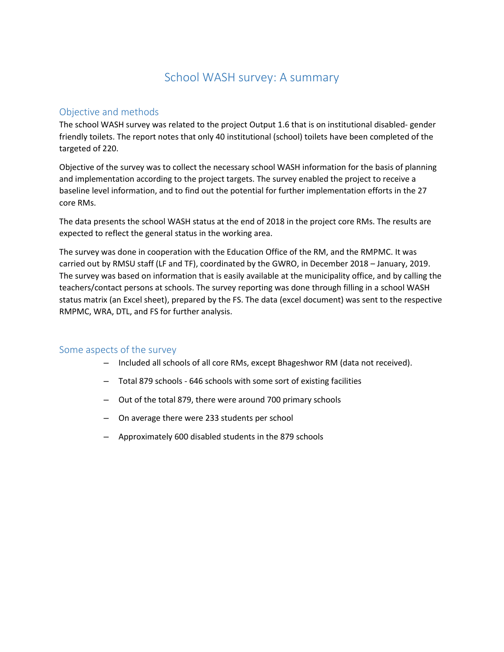# School WASH survey: A summary

# Objective and methods

The school WASH survey was related to the project Output 1.6 that is on institutional disabled- gender friendly toilets. The report notes that only 40 institutional (school) toilets have been completed of the targeted of 220.

Objective of the survey was to collect the necessary school WASH information for the basis of planning and implementation according to the project targets. The survey enabled the project to receive a baseline level information, and to find out the potential for further implementation efforts in the 27 core RMs.

The data presents the school WASH status at the end of 2018 in the project core RMs. The results are expected to reflect the general status in the working area.

The survey was done in cooperation with the Education Office of the RM, and the RMPMC. It was carried out by RMSU staff (LF and TF), coordinated by the GWRO, in December 2018 – January, 2019. The survey was based on information that is easily available at the municipality office, and by calling the teachers/contact persons at schools. The survey reporting was done through filling in a school WASH status matrix (an Excel sheet), prepared by the FS. The data (excel document) was sent to the respective RMPMC, WRA, DTL, and FS for further analysis.

#### Some aspects of the survey

- Included all schools of all core RMs, except Bhageshwor RM (data not received).
- Total 879 schools 646 schools with some sort of existing facilities
- Out of the total 879, there were around 700 primary schools
- On average there were 233 students per school
- Approximately 600 disabled students in the 879 schools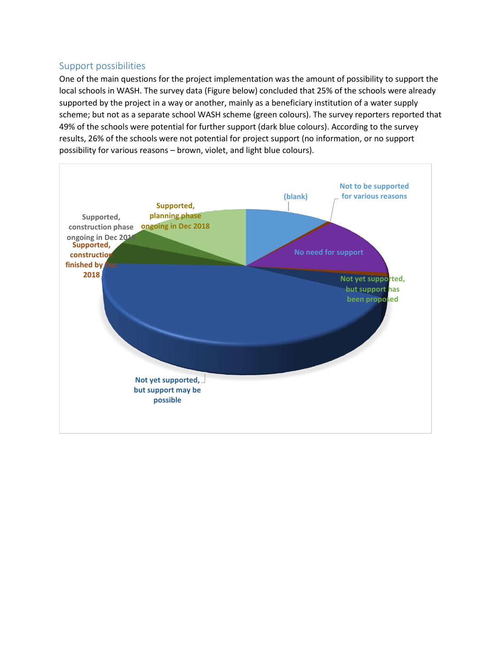#### Support possibilities

One of the main questions for the project implementation was the amount of possibility to support the local schools in WASH. The survey data (Figure below) concluded that 25% of the schools were already supported by the project in a way or another, mainly as a beneficiary institution of a water supply scheme; but not as a separate school WASH scheme (green colours). The survey reporters reported that 49% of the schools were potential for further support (dark blue colours). According to the survey results, 26% of the schools were not potential for project support (no information, or no support possibility for various reasons – brown, violet, and light blue colours).

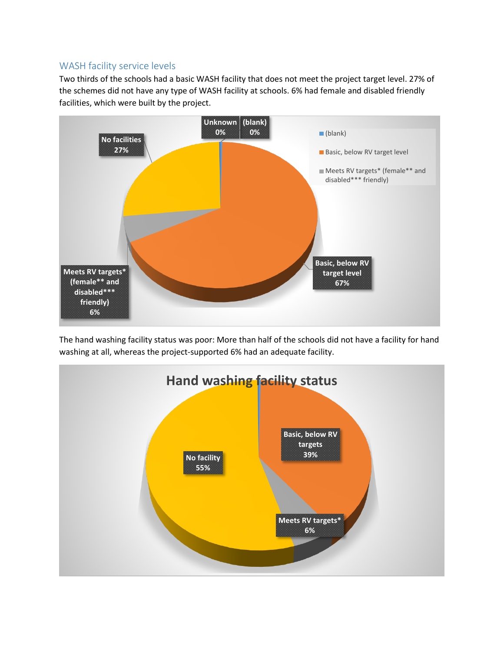## WASH facility service levels

Two thirds of the schools had a basic WASH facility that does not meet the project target level. 27% of the schemes did not have any type of WASH facility at schools. 6% had female and disabled friendly facilities, which were built by the project.



The hand washing facility status was poor: More than half of the schools did not have a facility for hand washing at all, whereas the project-supported 6% had an adequate facility.

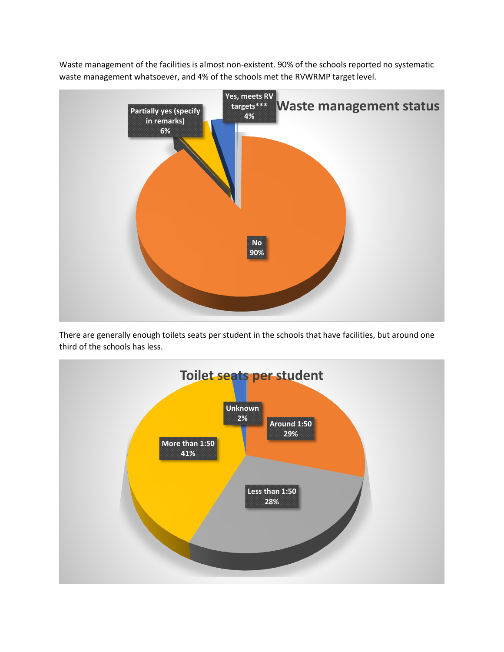Waste management of the facilities is almost non-existent. 90% of the schools reported no systematic waste management whatsoever, and 4% of the schools met the RVWRMP target level.



There are generally enough toilets seats per student in the schools that have facilities, but around one third of the schools has less.

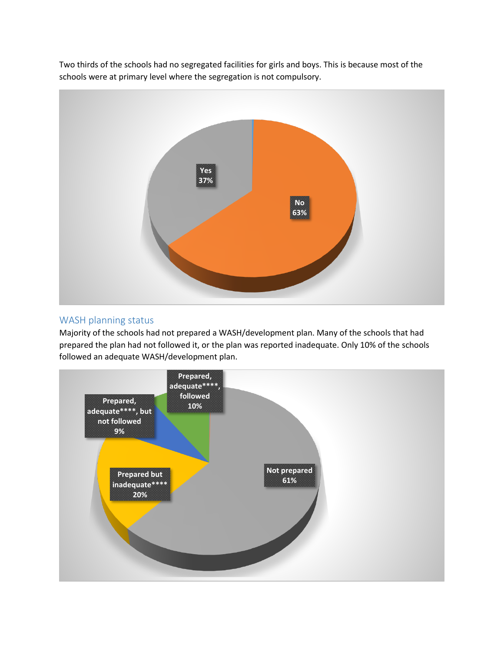Two thirds of the schools had no segregated facilities for girls and boys. This is because most of the schools were at primary level where the segregation is not compulsory.



## WASH planning status

Majority of the schools had not prepared a WASH/development plan. Many of the schools that had prepared the plan had not followed it, or the plan was reported inadequate. Only 10% of the schools followed an adequate WASH/development plan.

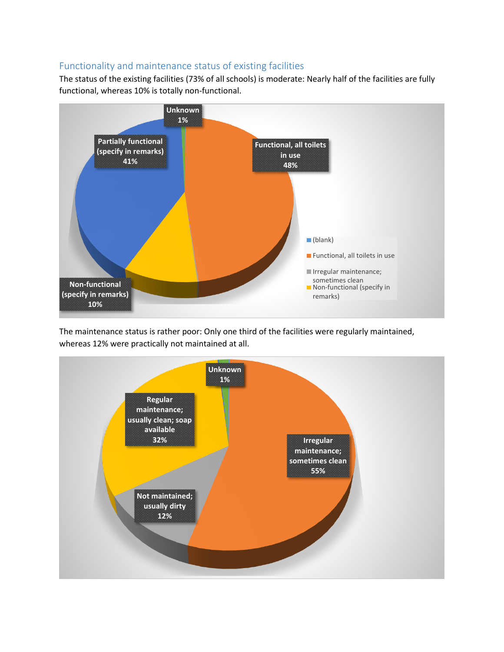## Functionality and maintenance status of existing facilities

The status of the existing facilities (73% of all schools) is moderate: Nearly half of the facilities are fully functional, whereas 10% is totally non-functional.



The maintenance status is rather poor: Only one third of the facilities were regularly maintained, whereas 12% were practically not maintained at all.

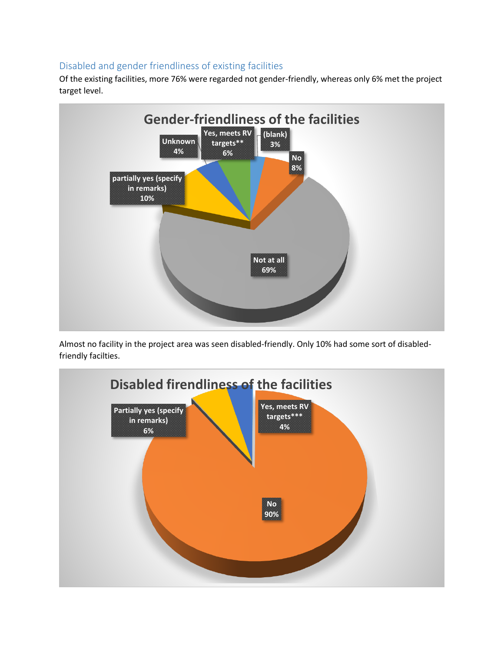# Disabled and gender friendliness of existing facilities

Of the existing facilities, more 76% were regarded not gender-friendly, whereas only 6% met the project target level.



Almost no facility in the project area was seen disabled-friendly. Only 10% had some sort of disabledfriendly facilties.